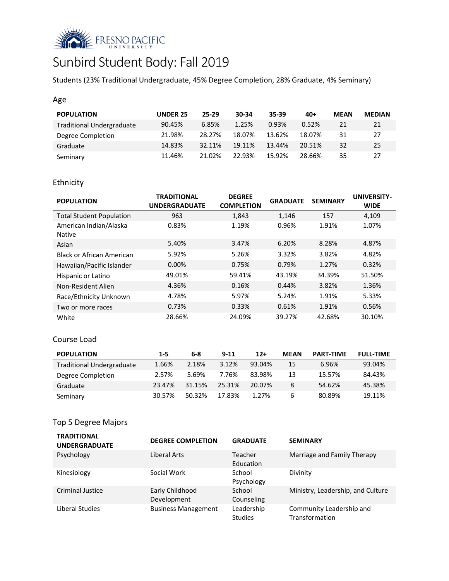

# Sunbird Student Body: Fall 2019

Students (23% Traditional Undergraduate, 45% Degree Completion, 28% Graduate, 4% Seminary)

### Age

| <b>POPULATION</b>                | <b>UNDER 25</b> | 25-29  | 30-34  | 35-39  | $40+$  | <b>MEAN</b> | <b>MEDIAN</b> |
|----------------------------------|-----------------|--------|--------|--------|--------|-------------|---------------|
| <b>Traditional Undergraduate</b> | 90.45%          | 6.85%  | 1.25%  | 0.93%  | 0.52%  | 21          | 21            |
| Degree Completion                | 21.98%          | 28.27% | 18.07% | 13.62% | 18.07% | 31          | 27            |
| Graduate                         | 14.83%          | 32.11% | 19.11% | 13.44% | 20.51% | 32          | 25            |
| Seminary                         | 11.46%          | 21.02% | 22.93% | 15.92% | 28.66% | 35          | 27            |

# Ethnicity

| <b>POPULATION</b>                       | <b>TRADITIONAL</b><br><b>UNDERGRADUATE</b> | <b>DEGREE</b><br><b>COMPLETION</b> | <b>GRADUATE</b> | <b>SEMINARY</b> | <b>UNIVERSITY-</b><br><b>WIDE</b> |
|-----------------------------------------|--------------------------------------------|------------------------------------|-----------------|-----------------|-----------------------------------|
| <b>Total Student Population</b>         | 963                                        | 1,843                              | 1,146           | 157             | 4,109                             |
| American Indian/Alaska<br><b>Native</b> | 0.83%                                      | 1.19%                              | 0.96%           | 1.91%           | 1.07%                             |
| Asian                                   | 5.40%                                      | 3.47%                              | 6.20%           | 8.28%           | 4.87%                             |
| Black or African American               | 5.92%                                      | 5.26%                              | 3.32%           | 3.82%           | 4.82%                             |
| Hawaiian/Pacific Islander               | $0.00\%$                                   | 0.75%                              | 0.79%           | 1.27%           | 0.32%                             |
| Hispanic or Latino                      | 49.01%                                     | 59.41%                             | 43.19%          | 34.39%          | 51.50%                            |
| Non-Resident Alien                      | 4.36%                                      | 0.16%                              | 0.44%           | 3.82%           | 1.36%                             |
| Race/Ethnicity Unknown                  | 4.78%                                      | 5.97%                              | 5.24%           | 1.91%           | 5.33%                             |
| Two or more races                       | 0.73%                                      | 0.33%                              | 0.61%           | 1.91%           | 0.56%                             |
| White                                   | 28.66%                                     | 24.09%                             | 39.27%          | 42.68%          | 30.10%                            |

### Course Load

| <b>POPULATION</b>                | $1 - 5$ | 6-8    | $9 - 11$ | $12+$  | <b>MEAN</b> | <b>PART-TIME</b> | <b>FULL-TIME</b> |
|----------------------------------|---------|--------|----------|--------|-------------|------------------|------------------|
| <b>Traditional Undergraduate</b> | 1.66%   | 2.18%  | 3.12%    | 93.04% | 15          | 6.96%            | 93.04%           |
| Degree Completion                | 2.57%   | 5.69%  | 7.76%    | 83.98% | 13          | 15.57%           | 84.43%           |
| Graduate                         | 23.47%  | 31.15% | 25.31%   | 20.07% | 8           | 54.62%           | 45.38%           |
| Seminary                         | 30.57%  | 50.32% | 17.83%   | 1.27%  | 6           | 80.89%           | 19.11%           |

# Top 5 Degree Majors

| <b>TRADITIONAL</b><br><b>UNDERGRADUATE</b> | <b>DEGREE COMPLETION</b>       | <b>GRADUATE</b>              | <b>SEMINARY</b>                            |
|--------------------------------------------|--------------------------------|------------------------------|--------------------------------------------|
| Psychology                                 | Liberal Arts                   | Teacher<br>Education         | Marriage and Family Therapy                |
| Kinesiology                                | Social Work                    | School<br>Psychology         | Divinity                                   |
| <b>Criminal Justice</b>                    | Early Childhood<br>Development | School<br>Counseling         | Ministry, Leadership, and Culture          |
| Liberal Studies                            | <b>Business Management</b>     | Leadership<br><b>Studies</b> | Community Leadership and<br>Transformation |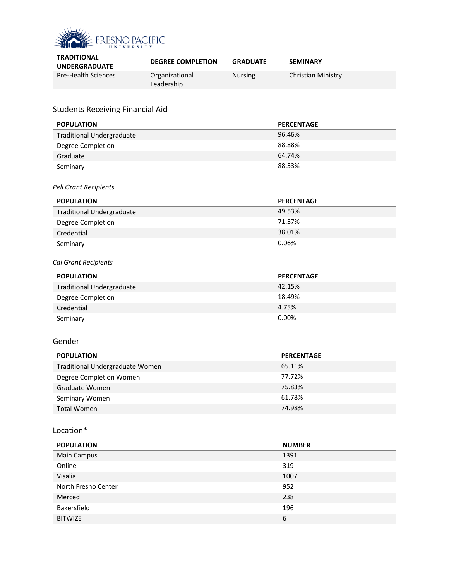

| <b>TRADITIONAL</b><br><b>UNDERGRADUATE</b> | <b>DEGREE COMPLETION</b>     | <b>GRADUATE</b> | <b>SEMINARY</b>           |
|--------------------------------------------|------------------------------|-----------------|---------------------------|
| <b>Pre-Health Sciences</b>                 | Organizational<br>Leadership | <b>Nursing</b>  | <b>Christian Ministry</b> |

# Students Receiving Financial Aid

| <b>POPULATION</b>                | <b>PERCENTAGE</b> |
|----------------------------------|-------------------|
| <b>Traditional Undergraduate</b> | 96.46%            |
| Degree Completion                | 88.88%            |
| Graduate                         | 64.74%            |
| Seminary                         | 88.53%            |
|                                  |                   |
| <b>Pell Grant Recipients</b>     |                   |
| <b>POPULATION</b>                | <b>PERCENTAGE</b> |
| <b>Traditional Undergraduate</b> | 49.53%            |
| Degree Completion                | 71.57%            |
| Credential                       | 38.01%            |
| Seminary                         | 0.06%             |
|                                  |                   |
| Cal Grant Recipients             |                   |
| <b>POPULATION</b>                | <b>PERCENTAGE</b> |
| <b>Traditional Undergraduate</b> | 42.15%            |
| Degree Completion                | 18.49%            |
| Credential                       | 4.75%             |
| Seminary                         | 0.00%             |
|                                  |                   |
| Gender                           |                   |
| <b>POPULATION</b>                | <b>PERCENTAGE</b> |
| Traditional Undergraduate Women  | 65.11%            |
| Degree Completion Women          | 77.72%            |
| Graduate Women                   | 75.83%            |
| Seminary Women                   | 61.78%            |
| <b>Total Women</b>               | 74.98%            |
|                                  |                   |
| Location*                        |                   |
| <b>POPULATION</b>                | <b>NUMBER</b>     |
| Main Campus                      | 1391              |
| Online                           | 319               |

| Online              | 319  |
|---------------------|------|
| Visalia             | 1007 |
| North Fresno Center | 952  |
| Merced              | 238  |
| Bakersfield         | 196  |
| <b>BITWIZE</b>      | 6    |